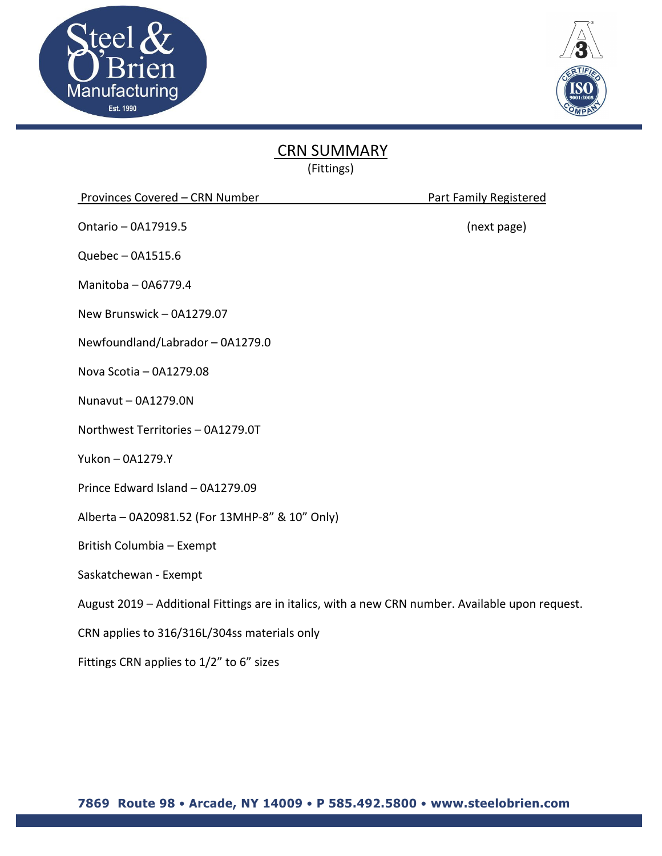



## CRN SUMMARY

(Fittings)

|  | Provinces Covered - CRN Number |  |
|--|--------------------------------|--|
|  |                                |  |

Ontario – 0A17919.5 (next page)

Quebec – 0A1515.6

Manitoba – 0A6779.4

New Brunswick – 0A1279.07

Newfoundland/Labrador – 0A1279.0

Nova Scotia – 0A1279.08

Nunavut – 0A1279.0N

Northwest Territories – 0A1279.0T

Yukon – 0A1279.Y

Prince Edward Island – 0A1279.09

Alberta – 0A20981.52 (For 13MHP‐8" & 10" Only)

British Columbia – Exempt

Saskatchewan ‐ Exempt

August 2019 – Additional Fittings are in italics, with a new CRN number. Available upon request.

CRN applies to 316/316L/304ss materials only

Fittings CRN applies to 1/2" to 6" sizes

Part Family Registered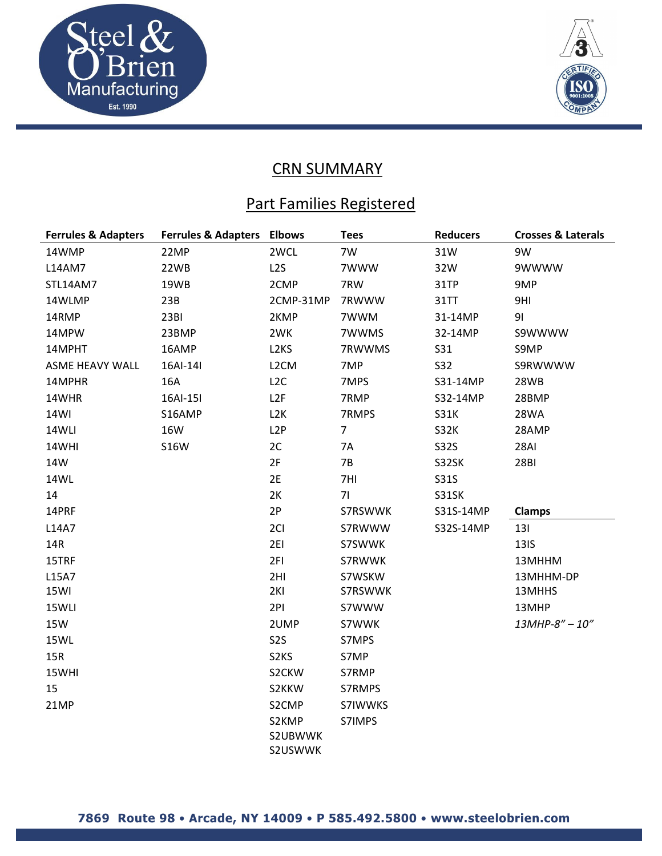



## **CRN SUMMARY**

## Part Families Registered

| <b>Ferrules &amp; Adapters</b> | <b>Ferrules &amp; Adapters</b> | <b>Elbows</b>               | <b>Tees</b>    | <b>Reducers</b> | <b>Crosses &amp; Laterals</b> |
|--------------------------------|--------------------------------|-----------------------------|----------------|-----------------|-------------------------------|
| 14WMP                          | 22MP                           | 2WCL                        | 7W             | 31W             | 9W                            |
| L14AM7                         | 22WB                           | L <sub>2</sub> S            | 7WWW           | 32W             | 9WWWW                         |
| STL14AM7                       | 19WB                           | 2CMP                        | 7RW            | 31TP            | 9MP                           |
| 14WLMP                         | 23B                            | 2CMP-31MP                   | 7RWWW          | <b>31TT</b>     | 9HI                           |
| 14RMP                          | 23BI                           | 2KMP                        | 7WWM           | 31-14MP         | 91                            |
| 14MPW                          | 23BMP                          | 2WK                         | 7WWMS          | 32-14MP         | S9WWWW                        |
| 14MPHT                         | 16AMP                          | L <sub>2</sub> KS           | 7RWWMS         | S31             | S9MP                          |
| ASME HEAVY WALL                | 16AI-14I                       | L <sub>2</sub> CM           | 7MP            | <b>S32</b>      | S9RWWWW                       |
| 14MPHR                         | 16A                            | L2C                         | 7MPS           | S31-14MP        | 28WB                          |
| 14WHR                          | 16AI-15I                       | L2F                         | 7RMP           | S32-14MP        | 28BMP                         |
| 14WI                           | S16AMP                         | L <sub>2</sub> K            | 7RMPS          | <b>S31K</b>     | 28WA                          |
| 14WLI                          | 16W                            | L <sub>2</sub> P            | $\overline{7}$ | <b>S32K</b>     | 28AMP                         |
| 14WHI                          | <b>S16W</b>                    | 2C                          | 7A             | <b>S32S</b>     | <b>28AI</b>                   |
| 14W                            |                                | 2F                          | 7B             | S32SK           | <b>28BI</b>                   |
| 14WL                           |                                | 2E                          | 7HI            | S31S            |                               |
| 14                             |                                | 2K                          | 71             | S31SK           |                               |
| 14PRF                          |                                | 2P                          | S7RSWWK        | S31S-14MP       | <b>Clamps</b>                 |
| L14A7                          |                                | 2CI                         | S7RWWW         | S32S-14MP       | 131                           |
| 14R                            |                                | 2EI                         | S7SWWK         |                 | <b>13IS</b>                   |
| 15TRF                          |                                | 2FI                         | S7RWWK         |                 | 13MHHM                        |
| L15A7                          |                                | 2HI                         | S7WSKW         |                 | 13MHHM-DP                     |
| 15WI                           |                                | 2KI                         | S7RSWWK        |                 | 13MHHS                        |
| 15WLI                          |                                | 2PI                         | S7WWW          |                 | 13MHP                         |
| <b>15W</b>                     |                                | 2UMP                        | S7WWK          |                 | 13MHP-8" - 10"                |
| 15WL                           |                                | S <sub>2</sub> S            | S7MPS          |                 |                               |
| 15R                            |                                | S <sub>2</sub> KS           | S7MP           |                 |                               |
| 15WHI                          |                                | S2CKW                       | S7RMP          |                 |                               |
| 15                             |                                | S2KKW                       | S7RMPS         |                 |                               |
| 21MP                           |                                | S2CMP                       | S7IWWKS        |                 |                               |
|                                |                                | S2KMP<br>S2UBWWK<br>S2USWWK | S7IMPS         |                 |                               |